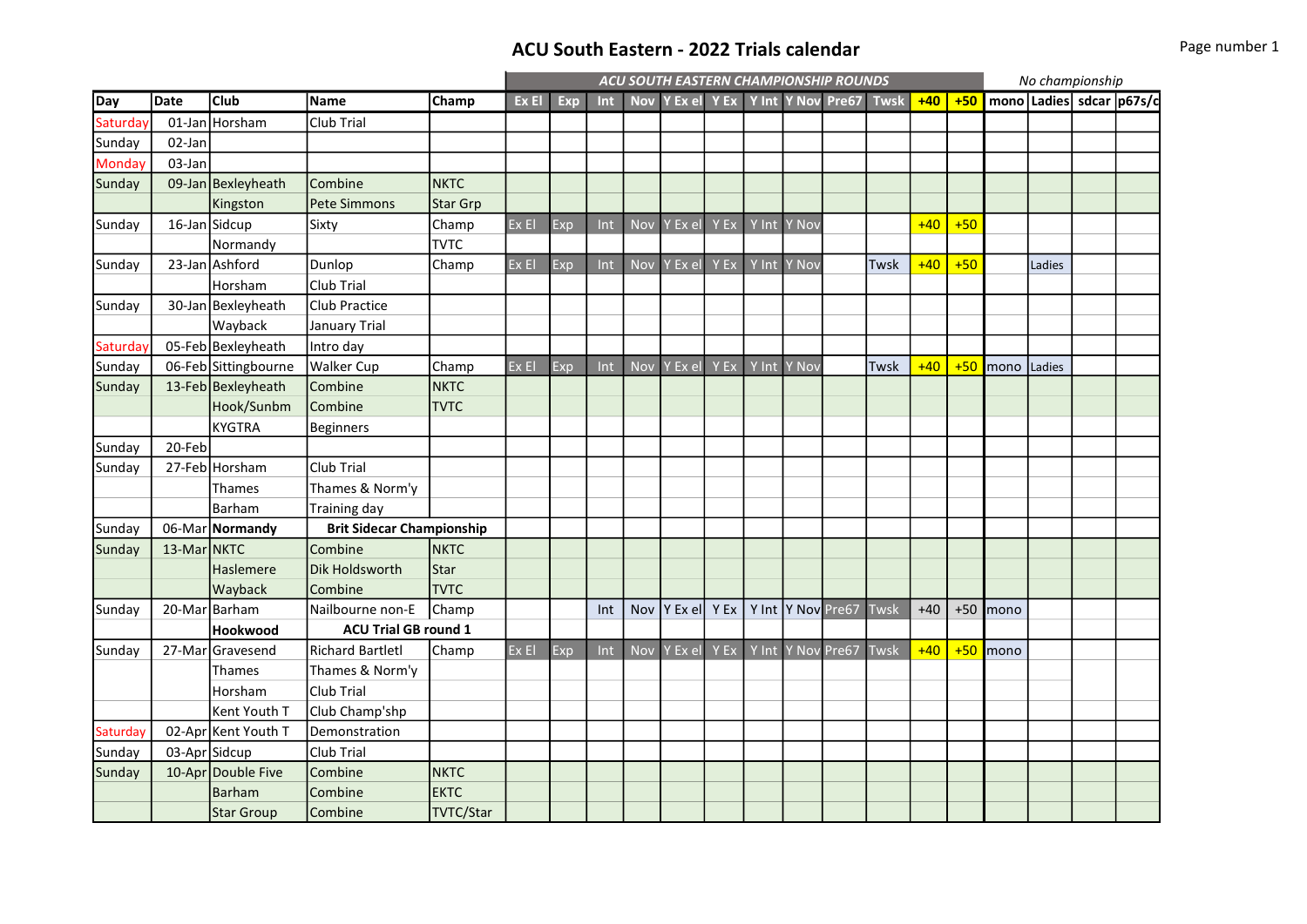## ACU South Eastern - 2022 Trials calendar **Page 1 and South Eastern - 2022 Trials calendar** Page number 1

|          |               |                      |                                  |                 | ACU SOUTH EASTERN CHAMPIONSHIP ROUNDS |     |     |            |                                    |      |         |                    |  |             |       | No championship |            |        |  |                              |  |
|----------|---------------|----------------------|----------------------------------|-----------------|---------------------------------------|-----|-----|------------|------------------------------------|------|---------|--------------------|--|-------------|-------|-----------------|------------|--------|--|------------------------------|--|
| Day      | <b>Date</b>   | <b>Club</b>          | Name                             | <b>Champ</b>    | Ex El                                 | Exp | Int |            | Nov Y Ex el Y Ex Y Int Y Nov Pre67 |      |         |                    |  | <b>Twsk</b> | $+40$ |                 |            |        |  | +50 mono Ladies sdcar p67s/c |  |
| Saturday |               | 01-Jan Horsham       | Club Trial                       |                 |                                       |     |     |            |                                    |      |         |                    |  |             |       |                 |            |        |  |                              |  |
| Sunday   | 02-Jan        |                      |                                  |                 |                                       |     |     |            |                                    |      |         |                    |  |             |       |                 |            |        |  |                              |  |
| Monday   | 03-Jan        |                      |                                  |                 |                                       |     |     |            |                                    |      |         |                    |  |             |       |                 |            |        |  |                              |  |
| Sunday   |               | 09-Jan Bexleyheath   | Combine                          | <b>NKTC</b>     |                                       |     |     |            |                                    |      |         |                    |  |             |       |                 |            |        |  |                              |  |
|          |               | Kingston             | <b>Pete Simmons</b>              | <b>Star Grp</b> |                                       |     |     |            |                                    |      |         |                    |  |             |       |                 |            |        |  |                              |  |
| Sunday   |               | 16-Jan Sidcup        | Sixty                            | Champ           | Ex El                                 | Exp | Int | <b>Nov</b> | Y Ex el                            | Y Ex | $Y$ Int | Y Nov              |  |             | $+40$ | $+50$           |            |        |  |                              |  |
|          |               | Normandy             |                                  | <b>TVTC</b>     |                                       |     |     |            |                                    |      |         |                    |  |             |       |                 |            |        |  |                              |  |
| Sunday   |               | 23-Jan Ashford       | Dunlop                           | Champ           | ExE1                                  | Exp | Int | Nov        | Y Ex el                            | Y Ex | Y Int   | Y Nov              |  | Twsk        | $+40$ | $+50$           |            | Ladies |  |                              |  |
|          |               | Horsham              | Club Trial                       |                 |                                       |     |     |            |                                    |      |         |                    |  |             |       |                 |            |        |  |                              |  |
| Sunday   |               | 30-Jan Bexleyheath   | Club Practice                    |                 |                                       |     |     |            |                                    |      |         |                    |  |             |       |                 |            |        |  |                              |  |
|          |               | Wayback              | <b>January Trial</b>             |                 |                                       |     |     |            |                                    |      |         |                    |  |             |       |                 |            |        |  |                              |  |
| Saturday |               | 05-Feb Bexleyheath   | Intro day                        |                 |                                       |     |     |            |                                    |      |         |                    |  |             |       |                 |            |        |  |                              |  |
| Sunday   |               | 06-Feb Sittingbourne | <b>Walker Cup</b>                | Champ           | Ex El                                 | Exp | Int | <b>Nov</b> | Y Ex el                            | Y Ex | Y Int   | Y Nov              |  | Twsk        | $+40$ | $+50$           | mono       | Ladies |  |                              |  |
| Sunday   |               | 13-Feb Bexleyheath   | Combine                          | <b>NKTC</b>     |                                       |     |     |            |                                    |      |         |                    |  |             |       |                 |            |        |  |                              |  |
|          |               | Hook/Sunbm           | Combine                          | <b>TVTC</b>     |                                       |     |     |            |                                    |      |         |                    |  |             |       |                 |            |        |  |                              |  |
|          |               | <b>KYGTRA</b>        | <b>Beginners</b>                 |                 |                                       |     |     |            |                                    |      |         |                    |  |             |       |                 |            |        |  |                              |  |
| Sunday   | 20-Feb        |                      |                                  |                 |                                       |     |     |            |                                    |      |         |                    |  |             |       |                 |            |        |  |                              |  |
| Sunday   |               | 27-Feb Horsham       | Club Trial                       |                 |                                       |     |     |            |                                    |      |         |                    |  |             |       |                 |            |        |  |                              |  |
|          |               | Thames               | Thames & Norm'y                  |                 |                                       |     |     |            |                                    |      |         |                    |  |             |       |                 |            |        |  |                              |  |
|          |               | Barham               | Training day                     |                 |                                       |     |     |            |                                    |      |         |                    |  |             |       |                 |            |        |  |                              |  |
| Sunday   |               | 06-Mar Normandy      | <b>Brit Sidecar Championship</b> |                 |                                       |     |     |            |                                    |      |         |                    |  |             |       |                 |            |        |  |                              |  |
| Sunday   | 13-Mar NKTC   |                      | Combine                          | <b>NKTC</b>     |                                       |     |     |            |                                    |      |         |                    |  |             |       |                 |            |        |  |                              |  |
|          |               | Haslemere            | Dik Holdsworth                   | Star            |                                       |     |     |            |                                    |      |         |                    |  |             |       |                 |            |        |  |                              |  |
|          |               | Wayback              | Combine                          | <b>TVTC</b>     |                                       |     |     |            |                                    |      |         |                    |  |             |       |                 |            |        |  |                              |  |
| Sunday   |               | 20-Mar Barham        | Nailbourne non-E                 | Champ           |                                       |     | Int | Nov        | Y Ex el                            | Y Ex |         | Y Int  Y Nov Pre67 |  | Twsk        | $+40$ |                 | $+50$ mono |        |  |                              |  |
|          |               | Hookwood             | <b>ACU Trial GB round 1</b>      |                 |                                       |     |     |            |                                    |      |         |                    |  |             |       |                 |            |        |  |                              |  |
| Sunday   |               | 27-Mar Gravesend     | <b>Richard Bartletl</b>          | Champ           | Ex El                                 | Exp | Int | <b>Nov</b> | Y Ex el                            | Y Ex |         | Y Int Y Nov Pre67  |  | Twsk        | $+40$ |                 | +50 mono   |        |  |                              |  |
|          |               | <b>Thames</b>        | Thames & Norm'y                  |                 |                                       |     |     |            |                                    |      |         |                    |  |             |       |                 |            |        |  |                              |  |
|          |               | Horsham              | Club Trial                       |                 |                                       |     |     |            |                                    |      |         |                    |  |             |       |                 |            |        |  |                              |  |
|          |               | Kent Youth T         | Club Champ'shp                   |                 |                                       |     |     |            |                                    |      |         |                    |  |             |       |                 |            |        |  |                              |  |
| Saturday |               | 02-Apr Kent Youth T  | Demonstration                    |                 |                                       |     |     |            |                                    |      |         |                    |  |             |       |                 |            |        |  |                              |  |
| Sunday   | 03-Apr Sidcup |                      | Club Trial                       |                 |                                       |     |     |            |                                    |      |         |                    |  |             |       |                 |            |        |  |                              |  |
| Sunday   |               | 10-Apr Double Five   | Combine                          | <b>NKTC</b>     |                                       |     |     |            |                                    |      |         |                    |  |             |       |                 |            |        |  |                              |  |
|          |               | <b>Barham</b>        | Combine                          | <b>EKTC</b>     |                                       |     |     |            |                                    |      |         |                    |  |             |       |                 |            |        |  |                              |  |
|          |               | <b>Star Group</b>    | Combine                          | TVTC/Star       |                                       |     |     |            |                                    |      |         |                    |  |             |       |                 |            |        |  |                              |  |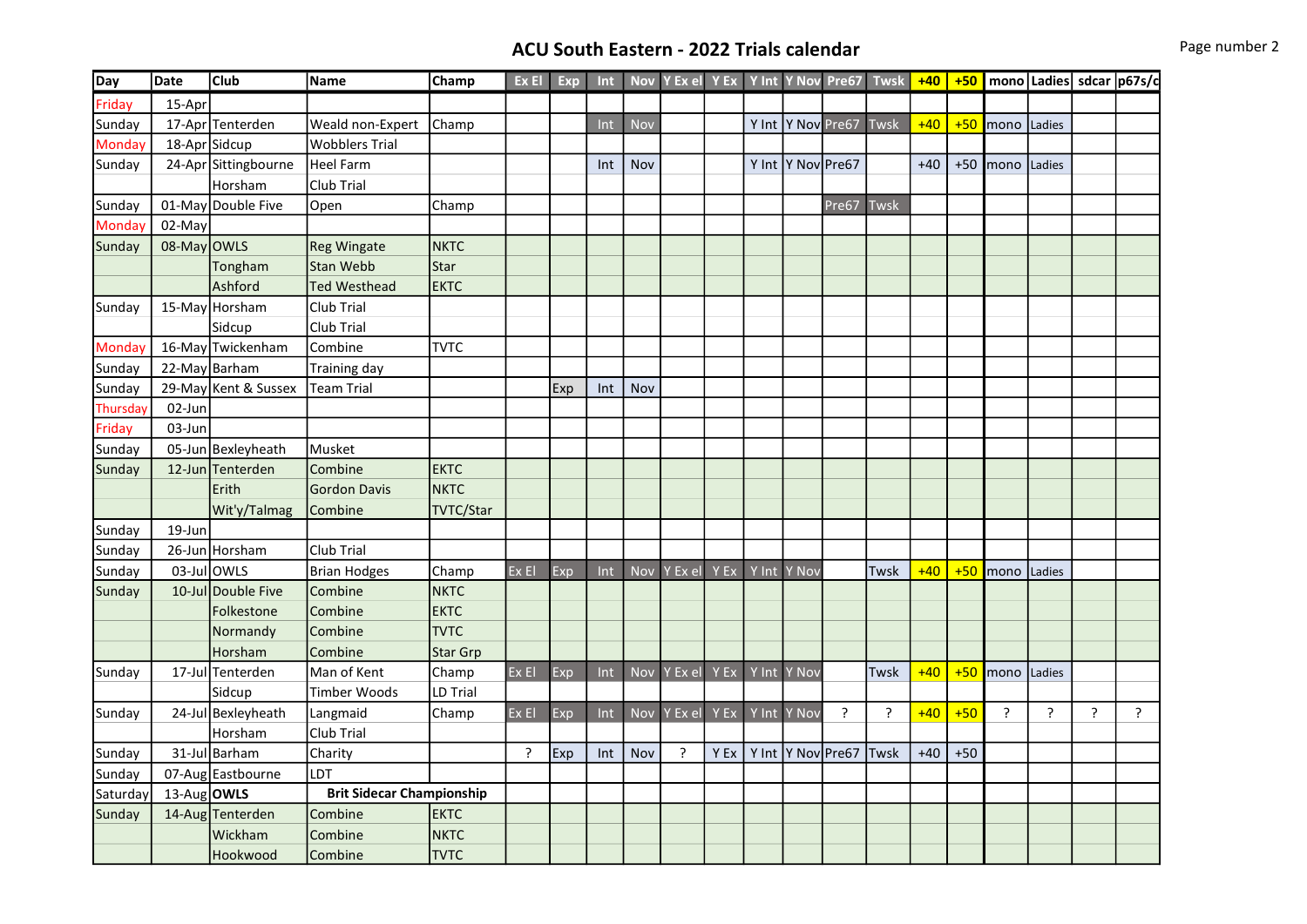# ACU South Eastern - 2022 Trials calendar **Page 11 COV Page number 2**

| Day           | Date        | <b>Club</b>          | <b>Name</b>                      | <b>Champ</b> | Ex El   | Exp | Int |     |             |      |             | Nov Y Ex el Y Ex Y Int Y Nov Pre67 | <b>Twsk</b>    |       |       |             |        |                | +40 +50   mono   Ladies   sdcar   p67s/c |
|---------------|-------------|----------------------|----------------------------------|--------------|---------|-----|-----|-----|-------------|------|-------------|------------------------------------|----------------|-------|-------|-------------|--------|----------------|------------------------------------------|
| Friday        | 15-Apr      |                      |                                  |              |         |     |     |     |             |      |             |                                    |                |       |       |             |        |                |                                          |
| Sunday        |             | 17-Apr Tenterden     | Weald non-Expert                 | Champ        |         |     | Int | Nov |             |      |             | Y Int  Y Nov Pre67                 | Twsk           | $+40$ | $+50$ | mono Ladies |        |                |                                          |
| Monday        |             | 18-Apr Sidcup        | <b>Wobblers Trial</b>            |              |         |     |     |     |             |      |             |                                    |                |       |       |             |        |                |                                          |
| Sunday        |             | 24-Apr Sittingbourne | <b>Heel Farm</b>                 |              |         |     | Int | Nov |             |      |             | Y Int  Y Nov Pre67                 |                | $+40$ | $+50$ | mono Ladies |        |                |                                          |
|               |             | Horsham              | Club Trial                       |              |         |     |     |     |             |      |             |                                    |                |       |       |             |        |                |                                          |
| Sunday        |             | 01-May Double Five   | Open                             | Champ        |         |     |     |     |             |      |             | Pre67                              | Twsk           |       |       |             |        |                |                                          |
| <b>Monday</b> | 02-May      |                      |                                  |              |         |     |     |     |             |      |             |                                    |                |       |       |             |        |                |                                          |
| Sunday        | 08-May OWLS |                      | <b>Reg Wingate</b>               | <b>NKTC</b>  |         |     |     |     |             |      |             |                                    |                |       |       |             |        |                |                                          |
|               |             | Tongham              | Stan Webb                        | Star         |         |     |     |     |             |      |             |                                    |                |       |       |             |        |                |                                          |
|               |             | Ashford              | <b>Ted Westhead</b>              | <b>EKTC</b>  |         |     |     |     |             |      |             |                                    |                |       |       |             |        |                |                                          |
| Sunday        |             | 15-May Horsham       | Club Trial                       |              |         |     |     |     |             |      |             |                                    |                |       |       |             |        |                |                                          |
|               |             | Sidcup               | Club Trial                       |              |         |     |     |     |             |      |             |                                    |                |       |       |             |        |                |                                          |
| <b>Monday</b> |             | 16-May Twickenham    | Combine                          | <b>TVTC</b>  |         |     |     |     |             |      |             |                                    |                |       |       |             |        |                |                                          |
| Sunday        |             | 22-May Barham        | <b>Training day</b>              |              |         |     |     |     |             |      |             |                                    |                |       |       |             |        |                |                                          |
| Sunday        |             | 29-May Kent & Sussex | <b>Team Trial</b>                |              |         | Exp | Int | Nov |             |      |             |                                    |                |       |       |             |        |                |                                          |
| Thursday      | 02-Jun      |                      |                                  |              |         |     |     |     |             |      |             |                                    |                |       |       |             |        |                |                                          |
| Friday        | 03-Jun      |                      |                                  |              |         |     |     |     |             |      |             |                                    |                |       |       |             |        |                |                                          |
| Sunday        |             | 05-Jun Bexleyheath   | Musket                           |              |         |     |     |     |             |      |             |                                    |                |       |       |             |        |                |                                          |
| Sunday        |             | 12-Jun Tenterden     | Combine                          | <b>EKTC</b>  |         |     |     |     |             |      |             |                                    |                |       |       |             |        |                |                                          |
|               |             | Erith                | <b>Gordon Davis</b>              | <b>NKTC</b>  |         |     |     |     |             |      |             |                                    |                |       |       |             |        |                |                                          |
|               |             | Wit'y/Talmag         | Combine                          | TVTC/Star    |         |     |     |     |             |      |             |                                    |                |       |       |             |        |                |                                          |
| Sunday        | 19-Jun      |                      |                                  |              |         |     |     |     |             |      |             |                                    |                |       |       |             |        |                |                                          |
| Sunday        |             | 26-Jun Horsham       | Club Trial                       |              |         |     |     |     |             |      |             |                                    |                |       |       |             |        |                |                                          |
| Sunday        |             | 03-Jul OWLS          | <b>Brian Hodges</b>              | Champ        | Ex El   | Exp | Int |     | Nov Y Ex el | Y Ex | Y Int Y Nov |                                    | Twsk           | $+40$ | $+50$ | Imono       | Ladies |                |                                          |
| Sunday        |             | 10-Jul Double Five   | Combine                          | <b>NKTC</b>  |         |     |     |     |             |      |             |                                    |                |       |       |             |        |                |                                          |
|               |             | Folkestone           | Combine                          | <b>EKTC</b>  |         |     |     |     |             |      |             |                                    |                |       |       |             |        |                |                                          |
|               |             | Normandy             | Combine                          | <b>TVTC</b>  |         |     |     |     |             |      |             |                                    |                |       |       |             |        |                |                                          |
|               |             | Horsham              | Combine                          | Star Grp     |         |     |     |     |             |      |             |                                    |                |       |       |             |        |                |                                          |
| Sunday        |             | 17-Jul Tenterden     | Man of Kent                      | Champ        | Ex El   | Exp | Int |     | Nov Y Ex el | Y Ex | Y Int Y Nov |                                    | Twsk           | $+40$ | $+50$ | mono        | Ladies |                |                                          |
|               |             | Sidcup               | Timber Woods                     | LD Trial     |         |     |     |     |             |      |             |                                    |                |       |       |             |        |                |                                          |
| Sunday        |             | 24-Jul Bexleyheath   | Langmaid                         | Champ        | $Ex$ El | Exp | Int |     | Nov Y Ex el | Y Ex | Y Int Y Nov | $\overline{?}$                     | $\overline{?}$ | $+40$ | $+50$ | ?           | ?      | $\overline{?}$ | $\ddot{?}$                               |
|               |             | Horsham              | Club Trial                       |              |         |     |     |     |             |      |             |                                    |                |       |       |             |        |                |                                          |
| Sunday        |             | 31-Jul Barham        | Charity                          |              | ?       | Exp | Int | Nov | ?           | Y Ex |             | Y Int  Y Nov Pre67                 | Twsk           | $+40$ | $+50$ |             |        |                |                                          |
| Sunday        |             | 07-Aug Eastbourne    | LDT                              |              |         |     |     |     |             |      |             |                                    |                |       |       |             |        |                |                                          |
| Saturday      | 13-Aug OWLS |                      | <b>Brit Sidecar Championship</b> |              |         |     |     |     |             |      |             |                                    |                |       |       |             |        |                |                                          |
| Sunday        |             | 14-Aug Tenterden     | Combine                          | <b>EKTC</b>  |         |     |     |     |             |      |             |                                    |                |       |       |             |        |                |                                          |
|               |             | Wickham              | Combine                          | <b>NKTC</b>  |         |     |     |     |             |      |             |                                    |                |       |       |             |        |                |                                          |
|               |             | Hookwood             | Combine                          | <b>TVTC</b>  |         |     |     |     |             |      |             |                                    |                |       |       |             |        |                |                                          |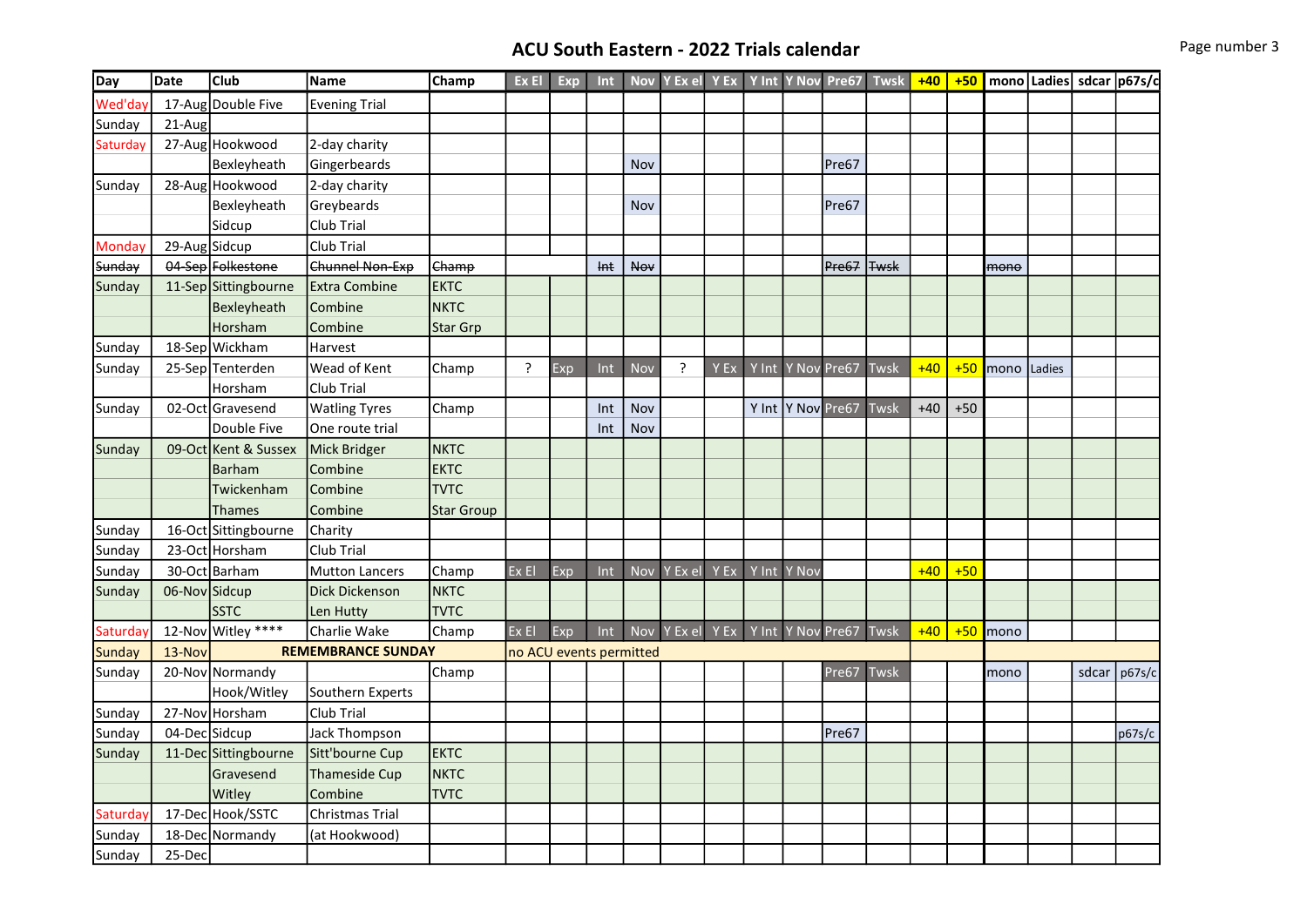# ACU South Eastern - 2022 Trials calendar **Page 11 COV Page number 3**

| Day           | Date          | <b>Club</b>          | Name                      | Champ             | Ex El                   | Exp | <b>Int</b> |            | Nov Y Ex el Y Ex |      |             | Y Int Y Nov Pre67  | Twsk        | $+40$ |       |      |        | +50   mono   Ladies   sdcar   p67s/c |        |
|---------------|---------------|----------------------|---------------------------|-------------------|-------------------------|-----|------------|------------|------------------|------|-------------|--------------------|-------------|-------|-------|------|--------|--------------------------------------|--------|
| Wed'day       |               | 17-Aug Double Five   | <b>Evening Trial</b>      |                   |                         |     |            |            |                  |      |             |                    |             |       |       |      |        |                                      |        |
| Sunday        | 21-Aug        |                      |                           |                   |                         |     |            |            |                  |      |             |                    |             |       |       |      |        |                                      |        |
| Saturday      |               | 27-Aug Hookwood      | 2-day charity             |                   |                         |     |            |            |                  |      |             |                    |             |       |       |      |        |                                      |        |
|               |               | Bexleyheath          | Gingerbeards              |                   |                         |     |            | Nov        |                  |      |             | Pre67              |             |       |       |      |        |                                      |        |
| Sunday        |               | 28-Aug Hookwood      | 2-day charity             |                   |                         |     |            |            |                  |      |             |                    |             |       |       |      |        |                                      |        |
|               |               | Bexleyheath          | Greybeards                |                   |                         |     |            | Nov        |                  |      |             | Pre67              |             |       |       |      |        |                                      |        |
|               |               | Sidcup               | Club Trial                |                   |                         |     |            |            |                  |      |             |                    |             |       |       |      |        |                                      |        |
| <b>Monday</b> | 29-Aug Sidcup |                      | Club Trial                |                   |                         |     |            |            |                  |      |             |                    |             |       |       |      |        |                                      |        |
| Sunday        |               | 04-Sep Folkestone    | Chunnel Non-Exp           | Champ             |                         |     | <b>Int</b> | Nov        |                  |      |             | Pre67              | <b>Twsk</b> |       |       | mono |        |                                      |        |
| Sunday        |               | 11-Sep Sittingbourne | <b>Extra Combine</b>      | <b>EKTC</b>       |                         |     |            |            |                  |      |             |                    |             |       |       |      |        |                                      |        |
|               |               | Bexleyheath          | Combine                   | <b>NKTC</b>       |                         |     |            |            |                  |      |             |                    |             |       |       |      |        |                                      |        |
|               |               | Horsham              | Combine                   | <b>Star Grp</b>   |                         |     |            |            |                  |      |             |                    |             |       |       |      |        |                                      |        |
| Sunday        |               | 18-Sep Wickham       | Harvest                   |                   |                         |     |            |            |                  |      |             |                    |             |       |       |      |        |                                      |        |
| Sunday        |               | 25-Sep Tenterden     | Wead of Kent              | Champ             | ŗ                       | Exp | Int        | Nov        | ?                | Y Ex |             | Y Int Y Nov Pre67  | Twsk        | $+40$ | $+50$ | mono | Ladies |                                      |        |
|               |               | Horsham              | Club Trial                |                   |                         |     |            |            |                  |      |             |                    |             |       |       |      |        |                                      |        |
| Sunday        |               | 02-Oct Gravesend     | <b>Watling Tyres</b>      | Champ             |                         |     | Int        | Nov        |                  |      |             | Y Int  Y Nov Pre67 | Twsk        | $+40$ | $+50$ |      |        |                                      |        |
|               |               | Double Five          | One route trial           |                   |                         |     | Int        | Nov        |                  |      |             |                    |             |       |       |      |        |                                      |        |
| Sunday        |               | 09-Oct Kent & Sussex | Mick Bridger              | <b>NKTC</b>       |                         |     |            |            |                  |      |             |                    |             |       |       |      |        |                                      |        |
|               |               | Barham               | Combine                   | <b>EKTC</b>       |                         |     |            |            |                  |      |             |                    |             |       |       |      |        |                                      |        |
|               |               | Twickenham           | Combine                   | <b>TVTC</b>       |                         |     |            |            |                  |      |             |                    |             |       |       |      |        |                                      |        |
|               |               | Thames               | Combine                   | <b>Star Group</b> |                         |     |            |            |                  |      |             |                    |             |       |       |      |        |                                      |        |
| Sunday        |               | 16-Oct Sittingbourne | Charity                   |                   |                         |     |            |            |                  |      |             |                    |             |       |       |      |        |                                      |        |
| Sunday        |               | 23-Oct Horsham       | <b>Club Trial</b>         |                   |                         |     |            |            |                  |      |             |                    |             |       |       |      |        |                                      |        |
| Sunday        |               | 30-Oct Barham        | <b>Mutton Lancers</b>     | Champ             | Ex El                   | Exp | Int        | <b>Nov</b> | Y Ex el          | Y Ex | Y Int Y Nov |                    |             | $+40$ | $+50$ |      |        |                                      |        |
| Sunday        | 06-Nov Sidcup |                      | <b>Dick Dickenson</b>     | <b>NKTC</b>       |                         |     |            |            |                  |      |             |                    |             |       |       |      |        |                                      |        |
|               |               | <b>SSTC</b>          | Len Hutty                 | <b>TVTC</b>       |                         |     |            |            |                  |      |             |                    |             |       |       |      |        |                                      |        |
| Saturday      |               | 12-Nov Witley ****   | Charlie Wake              | Champ             | Ex El                   | Exp | Int        |            | Nov Y Ex el      | Y Ex |             | Y Int Y Nov Pre67  | Twsk        | $+40$ | $+50$ | mono |        |                                      |        |
| <b>Sunday</b> | 13-Nov        |                      | <b>REMEMBRANCE SUNDAY</b> |                   | no ACU events permitted |     |            |            |                  |      |             |                    |             |       |       |      |        |                                      |        |
| Sunday        |               | 20-Nov Normandy      |                           | Champ             |                         |     |            |            |                  |      |             | Pre67              | <b>Twsk</b> |       |       | mono |        | sdcar                                | p67s/c |
|               |               | Hook/Witley          | Southern Experts          |                   |                         |     |            |            |                  |      |             |                    |             |       |       |      |        |                                      |        |
| Sunday        |               | 27-Nov Horsham       | Club Trial                |                   |                         |     |            |            |                  |      |             |                    |             |       |       |      |        |                                      |        |
| Sunday        |               | 04-Dec Sidcup        | <b>Jack Thompson</b>      |                   |                         |     |            |            |                  |      |             | Pre67              |             |       |       |      |        |                                      | p67s/c |
| Sunday        |               | 11-Dec Sittingbourne | Sitt'bourne Cup           | <b>EKTC</b>       |                         |     |            |            |                  |      |             |                    |             |       |       |      |        |                                      |        |
|               |               | Gravesend            | <b>Thameside Cup</b>      | <b>NKTC</b>       |                         |     |            |            |                  |      |             |                    |             |       |       |      |        |                                      |        |
|               |               | Witley               | Combine                   | <b>TVTC</b>       |                         |     |            |            |                  |      |             |                    |             |       |       |      |        |                                      |        |
| Saturday      |               | 17-Dec Hook/SSTC     | Christmas Trial           |                   |                         |     |            |            |                  |      |             |                    |             |       |       |      |        |                                      |        |
| Sunday        |               | 18-Dec Normandy      | (at Hookwood)             |                   |                         |     |            |            |                  |      |             |                    |             |       |       |      |        |                                      |        |
| Sunday        | 25-Dec        |                      |                           |                   |                         |     |            |            |                  |      |             |                    |             |       |       |      |        |                                      |        |